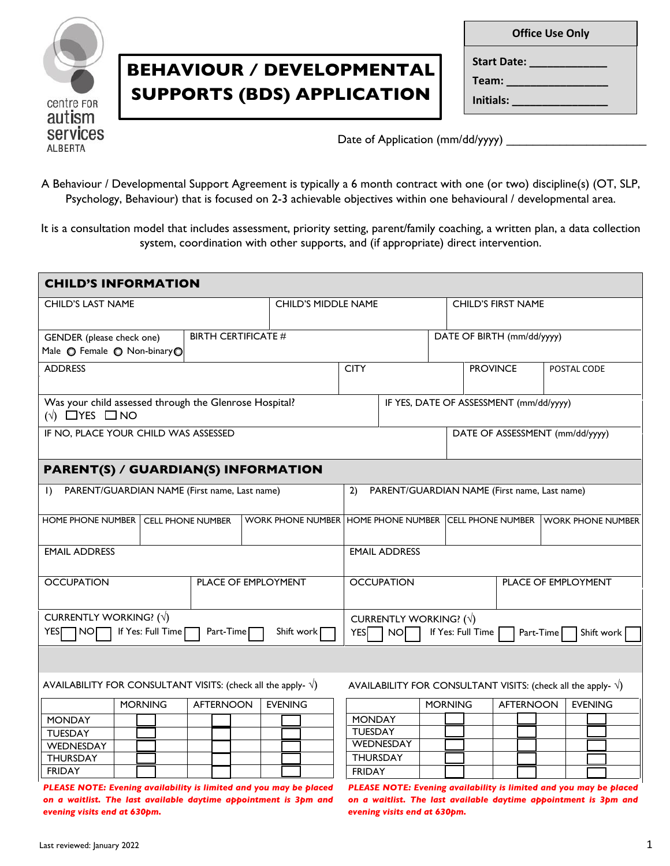

## **BEHAVIOUR / DEVELOPMENTAL SUPPORTS (BDS) APPLICATION**

| <b>Office Use Only</b> |  |  |  |  |  |
|------------------------|--|--|--|--|--|
| Start Date:            |  |  |  |  |  |
| Team:                  |  |  |  |  |  |
| Initials:              |  |  |  |  |  |
|                        |  |  |  |  |  |

Date of Application (mm/dd/yyyy)

A Behaviour / Developmental Support Agreement is typically a 6 month contract with one (or two) discipline(s) (OT, SLP, Psychology, Behaviour) that is focused on 2-3 achievable objectives within one behavioural / developmental area.

It is a consultation model that includes assessment, priority setting, parent/family coaching, a written plan, a data collection system, coordination with other supports, and (if appropriate) direct intervention.

| <b>CHILD'S INFORMATION</b>                                                                                                                                                                                  |                            |                            |                                                    |                |                           |                                                                         |  |
|-------------------------------------------------------------------------------------------------------------------------------------------------------------------------------------------------------------|----------------------------|----------------------------|----------------------------------------------------|----------------|---------------------------|-------------------------------------------------------------------------|--|
| <b>CHILD'S LAST NAME</b>                                                                                                                                                                                    |                            | <b>CHILD'S MIDDLE NAME</b> |                                                    |                | <b>CHILD'S FIRST NAME</b> |                                                                         |  |
| GENDER (please check one)<br>Male O Female O Non-binaryO                                                                                                                                                    | <b>BIRTH CERTIFICATE #</b> |                            | DATE OF BIRTH (mm/dd/yyyy)                         |                |                           |                                                                         |  |
| <b>ADDRESS</b>                                                                                                                                                                                              |                            |                            | <b>CITY</b>                                        |                | <b>PROVINCE</b>           | POSTAL CODE                                                             |  |
| Was your child assessed through the Glenrose Hospital?<br>$($ $\vee$ $\Box$ YES $\Box$ NO                                                                                                                   |                            |                            | IF YES, DATE OF ASSESSMENT (mm/dd/yyyy)            |                |                           |                                                                         |  |
| IF NO, PLACE YOUR CHILD WAS ASSESSED                                                                                                                                                                        |                            |                            |                                                    |                |                           | DATE OF ASSESSMENT (mm/dd/yyyy)                                         |  |
| <b>PARENT(S) / GUARDIAN(S) INFORMATION</b>                                                                                                                                                                  |                            |                            |                                                    |                |                           |                                                                         |  |
| PARENT/GUARDIAN NAME (First name, Last name)<br>$\mathbf{D}$                                                                                                                                                |                            |                            | 2)<br>PARENT/GUARDIAN NAME (First name, Last name) |                |                           |                                                                         |  |
| HOME PHONE NUMBER   CELL PHONE NUMBER                                                                                                                                                                       |                            |                            |                                                    |                |                           | WORK PHONE NUMBER HOME PHONE NUMBER CELL PHONE NUMBER WORK PHONE NUMBER |  |
| <b>EMAIL ADDRESS</b>                                                                                                                                                                                        | <b>EMAIL ADDRESS</b>       |                            |                                                    |                |                           |                                                                         |  |
| <b>OCCUPATION</b>                                                                                                                                                                                           |                            | PLACE OF EMPLOYMENT        | <b>OCCUPATION</b><br>PLACE OF EMPLOYMENT           |                |                           |                                                                         |  |
| CURRENTLY WORKING? $(\sqrt)$<br>CURRENTLY WORKING? $(\sqrt)$<br>YES<br>If Yes: Full Time<br>If Yes: Full Time<br>NO[<br>Part-Time<br>Shift work<br><b>YES</b><br>NO <sub>I</sub><br>Part-Time<br>Shift work |                            |                            |                                                    |                |                           |                                                                         |  |
|                                                                                                                                                                                                             |                            |                            |                                                    |                |                           |                                                                         |  |
| AVAILABILITY FOR CONSULTANT VISITS: (check all the apply- $\sqrt{}$ )<br>AVAILABILITY FOR CONSULTANT VISITS: (check all the apply- $\sqrt{}$ )                                                              |                            |                            |                                                    |                |                           |                                                                         |  |
| <b>MORNING</b>                                                                                                                                                                                              | <b>AFTERNOON</b>           | <b>EVENING</b>             |                                                    | <b>MORNING</b> | <b>AFTERNOON</b>          | <b>EVENING</b>                                                          |  |
| <b>MONDAY</b>                                                                                                                                                                                               |                            |                            | <b>MONDAY</b>                                      |                |                           |                                                                         |  |
| <b>TUESDAY</b>                                                                                                                                                                                              |                            |                            | <b>TUESDAY</b><br>WEDNESDAY                        |                |                           |                                                                         |  |
| WEDNESDAY<br><b>THURSDAY</b>                                                                                                                                                                                |                            |                            | <b>THURSDAY</b>                                    |                |                           |                                                                         |  |
| <b>FRIDAY</b>                                                                                                                                                                                               |                            |                            | <b>FRIDAY</b>                                      |                |                           |                                                                         |  |
| DI EASE NOTE: Evaning quailability is limited and you may be blaced  DI EASE NOTE: Evaning quailability is limited and you may be blaced.                                                                   |                            |                            |                                                    |                |                           |                                                                         |  |

*PLEASE NOTE: Evening availability is limited and you may be placed on a waitlist. The last available daytime appointment is 3pm and on a waitlist. The last available daytime appointment is 3pm and evening visits end at 630pm.*

*PLEASE NOTE: Evening availability is limited and you may be placed evening visits end at 630pm.*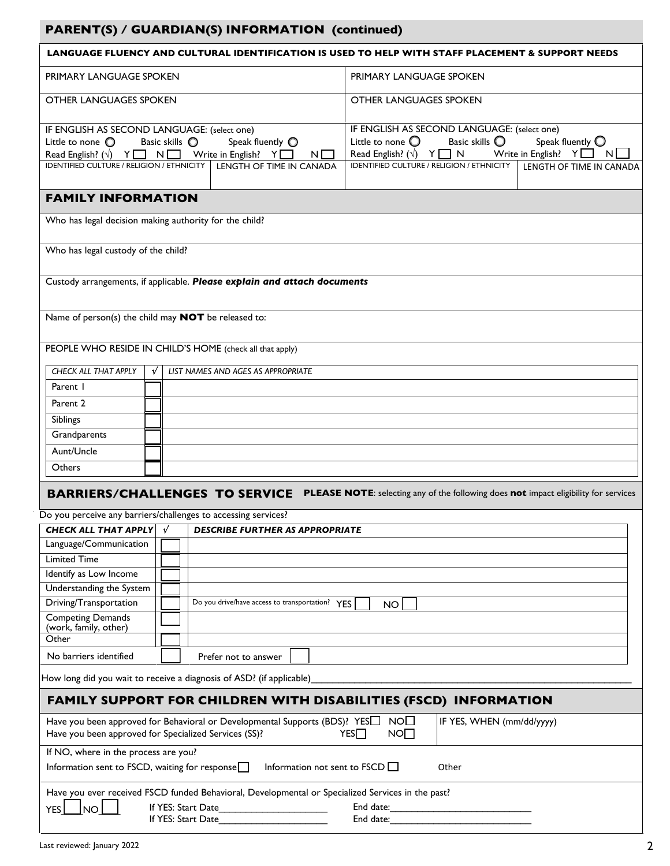## **PARENT(S) / GUARDIAN(S) INFORMATION (continued)**

|                                                                                                                                                                                                                                                                                        |   |                    |                                                 |                                                                                                                                                                                                                                                                                                     |                                                |  |       |  | LANGUAGE FLUENCY AND CULTURAL IDENTIFICATION IS USED TO HELP WITH STAFF PLACEMENT & SUPPORT NEEDS                          |
|----------------------------------------------------------------------------------------------------------------------------------------------------------------------------------------------------------------------------------------------------------------------------------------|---|--------------------|-------------------------------------------------|-----------------------------------------------------------------------------------------------------------------------------------------------------------------------------------------------------------------------------------------------------------------------------------------------------|------------------------------------------------|--|-------|--|----------------------------------------------------------------------------------------------------------------------------|
| PRIMARY LANGUAGE SPOKEN                                                                                                                                                                                                                                                                |   |                    |                                                 | PRIMARY LANGUAGE SPOKEN                                                                                                                                                                                                                                                                             |                                                |  |       |  |                                                                                                                            |
| OTHER LANGUAGES SPOKEN                                                                                                                                                                                                                                                                 |   |                    |                                                 |                                                                                                                                                                                                                                                                                                     | <b>OTHER LANGUAGES SPOKEN</b>                  |  |       |  |                                                                                                                            |
| IF ENGLISH AS SECOND LANGUAGE: (select one)<br>Basic skills O<br>Speak fluently O<br>Little to none $\mathbb O$<br>Read English? $(\sqrt{)} \quad Y \quad N \quad N$ Write in English? $Y \quad N$<br>$N \Box$<br>IDENTIFIED CULTURE / RELIGION / ETHNICITY   LENGTH OF TIME IN CANADA |   |                    |                                                 | IF ENGLISH AS SECOND LANGUAGE: (select one)<br>Basic skills $\bigcirc$<br>Speak fluently $\bigcirc$<br>Little to none $\bigcirc$<br>Read English? $(\sqrt{)}$ $\gamma$ $\Box$ N Write in English? $\gamma$ $\Box$ N $\Box$<br>IDENTIFIED CULTURE / RELIGION / ETHNICITY<br>LENGTH OF TIME IN CANADA |                                                |  |       |  |                                                                                                                            |
| <b>FAMILY INFORMATION</b>                                                                                                                                                                                                                                                              |   |                    |                                                 |                                                                                                                                                                                                                                                                                                     |                                                |  |       |  |                                                                                                                            |
|                                                                                                                                                                                                                                                                                        |   |                    |                                                 |                                                                                                                                                                                                                                                                                                     |                                                |  |       |  |                                                                                                                            |
| Who has legal decision making authority for the child?                                                                                                                                                                                                                                 |   |                    |                                                 |                                                                                                                                                                                                                                                                                                     |                                                |  |       |  |                                                                                                                            |
| Who has legal custody of the child?                                                                                                                                                                                                                                                    |   |                    |                                                 |                                                                                                                                                                                                                                                                                                     |                                                |  |       |  |                                                                                                                            |
| Custody arrangements, if applicable. Please explain and attach documents                                                                                                                                                                                                               |   |                    |                                                 |                                                                                                                                                                                                                                                                                                     |                                                |  |       |  |                                                                                                                            |
| Name of person(s) the child may <b>NOT</b> be released to:                                                                                                                                                                                                                             |   |                    |                                                 |                                                                                                                                                                                                                                                                                                     |                                                |  |       |  |                                                                                                                            |
| PEOPLE WHO RESIDE IN CHILD'S HOME (check all that apply)                                                                                                                                                                                                                               |   |                    |                                                 |                                                                                                                                                                                                                                                                                                     |                                                |  |       |  |                                                                                                                            |
| CHECK ALL THAT APPLY                                                                                                                                                                                                                                                                   | √ |                    | LIST NAMES AND AGES AS APPROPRIATE              |                                                                                                                                                                                                                                                                                                     |                                                |  |       |  |                                                                                                                            |
| Parent 1                                                                                                                                                                                                                                                                               |   |                    |                                                 |                                                                                                                                                                                                                                                                                                     |                                                |  |       |  |                                                                                                                            |
| Parent <sub>2</sub>                                                                                                                                                                                                                                                                    |   |                    |                                                 |                                                                                                                                                                                                                                                                                                     |                                                |  |       |  |                                                                                                                            |
| Siblings                                                                                                                                                                                                                                                                               |   |                    |                                                 |                                                                                                                                                                                                                                                                                                     |                                                |  |       |  |                                                                                                                            |
| Grandparents                                                                                                                                                                                                                                                                           |   |                    |                                                 |                                                                                                                                                                                                                                                                                                     |                                                |  |       |  |                                                                                                                            |
| Aunt/Uncle                                                                                                                                                                                                                                                                             |   |                    |                                                 |                                                                                                                                                                                                                                                                                                     |                                                |  |       |  |                                                                                                                            |
| Others                                                                                                                                                                                                                                                                                 |   |                    |                                                 |                                                                                                                                                                                                                                                                                                     |                                                |  |       |  |                                                                                                                            |
|                                                                                                                                                                                                                                                                                        |   |                    |                                                 |                                                                                                                                                                                                                                                                                                     |                                                |  |       |  |                                                                                                                            |
|                                                                                                                                                                                                                                                                                        |   |                    |                                                 |                                                                                                                                                                                                                                                                                                     |                                                |  |       |  | <b>BARRIERS/CHALLENGES TO SERVICE</b> PLEASE NOTE: selecting any of the following does not impact eligibility for services |
| Do you perceive any barriers/challenges to accessing services?                                                                                                                                                                                                                         |   |                    |                                                 |                                                                                                                                                                                                                                                                                                     |                                                |  |       |  |                                                                                                                            |
| <b>CHECK ALL THAT APPLY</b>                                                                                                                                                                                                                                                            |   | √                  | DESCRIBE FURTHER AS APPROPRIATE                 |                                                                                                                                                                                                                                                                                                     |                                                |  |       |  |                                                                                                                            |
| Language/Communication                                                                                                                                                                                                                                                                 |   |                    |                                                 |                                                                                                                                                                                                                                                                                                     |                                                |  |       |  |                                                                                                                            |
| <b>Limited Time</b>                                                                                                                                                                                                                                                                    |   |                    |                                                 |                                                                                                                                                                                                                                                                                                     |                                                |  |       |  |                                                                                                                            |
| Identify as Low Income                                                                                                                                                                                                                                                                 |   |                    |                                                 |                                                                                                                                                                                                                                                                                                     |                                                |  |       |  |                                                                                                                            |
| Understanding the System                                                                                                                                                                                                                                                               |   |                    |                                                 |                                                                                                                                                                                                                                                                                                     |                                                |  |       |  |                                                                                                                            |
| Driving/Transportation                                                                                                                                                                                                                                                                 |   |                    | Do you drive/have access to transportation? YES |                                                                                                                                                                                                                                                                                                     | <b>NO</b>                                      |  |       |  |                                                                                                                            |
| <b>Competing Demands</b><br>(work, family, other)                                                                                                                                                                                                                                      |   |                    |                                                 |                                                                                                                                                                                                                                                                                                     |                                                |  |       |  |                                                                                                                            |
| Other                                                                                                                                                                                                                                                                                  |   |                    |                                                 |                                                                                                                                                                                                                                                                                                     |                                                |  |       |  |                                                                                                                            |
| No barriers identified                                                                                                                                                                                                                                                                 |   |                    | Prefer not to answer                            |                                                                                                                                                                                                                                                                                                     |                                                |  |       |  |                                                                                                                            |
| How long did you wait to receive a diagnosis of ASD? (if applicable)                                                                                                                                                                                                                   |   |                    |                                                 |                                                                                                                                                                                                                                                                                                     |                                                |  |       |  |                                                                                                                            |
| FAMILY SUPPORT FOR CHILDREN WITH DISABILITIES (FSCD) INFORMATION                                                                                                                                                                                                                       |   |                    |                                                 |                                                                                                                                                                                                                                                                                                     |                                                |  |       |  |                                                                                                                            |
| Have you been approved for Behavioral or Developmental Supports (BDS)? YES $\Box$<br>Have you been approved for Specialized Services (SS)?                                                                                                                                             |   |                    |                                                 |                                                                                                                                                                                                                                                                                                     | NO <sub>1</sub><br>NO <sub>1</sub><br>YES      |  |       |  | IF YES, WHEN (mm/dd/yyyy)                                                                                                  |
| If NO, where in the process are you?<br>Information sent to FSCD, waiting for response                                                                                                                                                                                                 |   |                    |                                                 |                                                                                                                                                                                                                                                                                                     | Information not sent to $\mathsf{FSCD}\square$ |  | Other |  |                                                                                                                            |
| Have you ever received FSCD funded Behavioral, Developmental or Specialized Services in the past?                                                                                                                                                                                      |   |                    |                                                 |                                                                                                                                                                                                                                                                                                     |                                                |  |       |  |                                                                                                                            |
| NO<br>YES                                                                                                                                                                                                                                                                              |   | If YES: Start Date |                                                 |                                                                                                                                                                                                                                                                                                     | End date:                                      |  |       |  |                                                                                                                            |
|                                                                                                                                                                                                                                                                                        |   | If YES: Start Date |                                                 |                                                                                                                                                                                                                                                                                                     | End date:                                      |  |       |  |                                                                                                                            |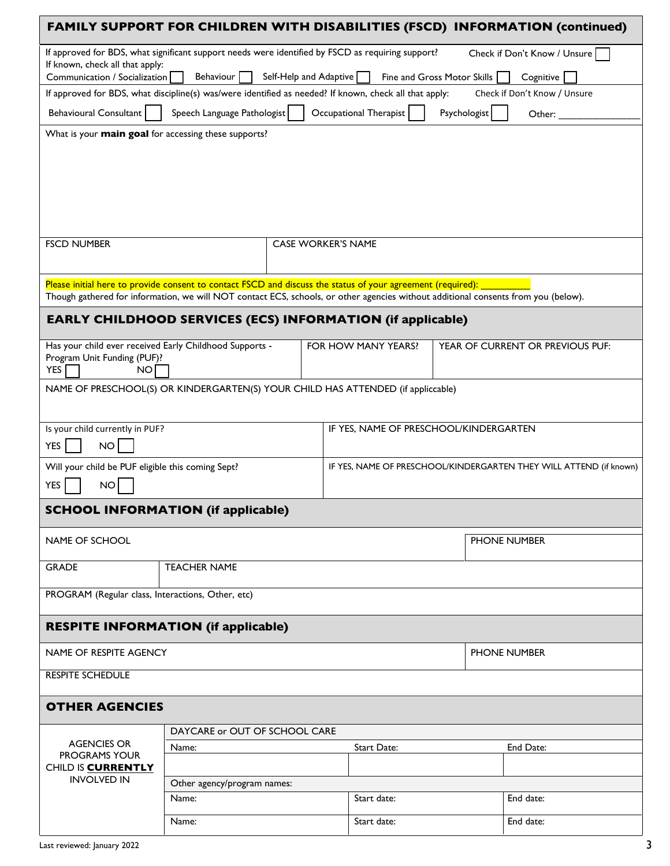|                                                                                                                                                            | <b>FAMILY SUPPORT FOR CHILDREN WITH DISABILITIES (FSCD) INFORMATION (continued)</b>                                                |                           |                                        |              |                                                                    |  |  |
|------------------------------------------------------------------------------------------------------------------------------------------------------------|------------------------------------------------------------------------------------------------------------------------------------|---------------------------|----------------------------------------|--------------|--------------------------------------------------------------------|--|--|
| If approved for BDS, what significant support needs were identified by FSCD as requiring support?<br>Check if Don't Know / Unsure                          |                                                                                                                                    |                           |                                        |              |                                                                    |  |  |
| If known, check all that apply:<br>Communication / Socialization<br>Behaviour<br>Self-Help and Adaptive $\Box$<br>Fine and Gross Motor Skills<br>Cognitive |                                                                                                                                    |                           |                                        |              |                                                                    |  |  |
|                                                                                                                                                            | If approved for BDS, what discipline(s) was/were identified as needed? If known, check all that apply:                             |                           |                                        |              | Check if Don't Know / Unsure                                       |  |  |
| <b>Behavioural Consultant</b>                                                                                                                              | Speech Language Pathologist                                                                                                        |                           | Occupational Therapist                 | Psychologist | Other: $\_$                                                        |  |  |
| What is your <b>main goal</b> for accessing these supports?                                                                                                |                                                                                                                                    |                           |                                        |              |                                                                    |  |  |
|                                                                                                                                                            |                                                                                                                                    |                           |                                        |              |                                                                    |  |  |
|                                                                                                                                                            |                                                                                                                                    |                           |                                        |              |                                                                    |  |  |
|                                                                                                                                                            |                                                                                                                                    |                           |                                        |              |                                                                    |  |  |
|                                                                                                                                                            |                                                                                                                                    |                           |                                        |              |                                                                    |  |  |
| <b>FSCD NUMBER</b>                                                                                                                                         |                                                                                                                                    | <b>CASE WORKER'S NAME</b> |                                        |              |                                                                    |  |  |
|                                                                                                                                                            |                                                                                                                                    |                           |                                        |              |                                                                    |  |  |
|                                                                                                                                                            | Please initial here to provide consent to contact FSCD and discuss the status of your agreement (required):                        |                           |                                        |              |                                                                    |  |  |
|                                                                                                                                                            | Though gathered for information, we will NOT contact ECS, schools, or other agencies without additional consents from you (below). |                           |                                        |              |                                                                    |  |  |
|                                                                                                                                                            | <b>EARLY CHILDHOOD SERVICES (ECS) INFORMATION (if applicable)</b>                                                                  |                           |                                        |              |                                                                    |  |  |
| Has your child ever received Early Childhood Supports -                                                                                                    |                                                                                                                                    |                           | FOR HOW MANY YEARS?                    |              | YEAR OF CURRENT OR PREVIOUS PUF:                                   |  |  |
| Program Unit Funding (PUF)?<br><b>YES</b><br>NO.                                                                                                           |                                                                                                                                    |                           |                                        |              |                                                                    |  |  |
|                                                                                                                                                            | NAME OF PRESCHOOL(S) OR KINDERGARTEN(S) YOUR CHILD HAS ATTENDED (if appliccable)                                                   |                           |                                        |              |                                                                    |  |  |
|                                                                                                                                                            |                                                                                                                                    |                           |                                        |              |                                                                    |  |  |
| Is your child currently in PUF?                                                                                                                            |                                                                                                                                    |                           | IF YES, NAME OF PRESCHOOL/KINDERGARTEN |              |                                                                    |  |  |
| <b>YES</b><br>NO                                                                                                                                           |                                                                                                                                    |                           |                                        |              |                                                                    |  |  |
| Will your child be PUF eligible this coming Sept?                                                                                                          |                                                                                                                                    |                           |                                        |              | IF YES, NAME OF PRESCHOOL/KINDERGARTEN THEY WILL ATTEND (if known) |  |  |
| <b>YES</b><br><b>NO</b>                                                                                                                                    |                                                                                                                                    |                           |                                        |              |                                                                    |  |  |
|                                                                                                                                                            | <b>SCHOOL INFORMATION (if applicable)</b>                                                                                          |                           |                                        |              |                                                                    |  |  |
| NAME OF SCHOOL                                                                                                                                             |                                                                                                                                    |                           |                                        |              | PHONE NUMBER                                                       |  |  |
| <b>GRADE</b>                                                                                                                                               | <b>TEACHER NAME</b>                                                                                                                |                           |                                        |              |                                                                    |  |  |
| PROGRAM (Regular class, Interactions, Other, etc)                                                                                                          |                                                                                                                                    |                           |                                        |              |                                                                    |  |  |
|                                                                                                                                                            |                                                                                                                                    |                           |                                        |              |                                                                    |  |  |
| <b>RESPITE INFORMATION (if applicable)</b>                                                                                                                 |                                                                                                                                    |                           |                                        |              |                                                                    |  |  |
| NAME OF RESPITE AGENCY                                                                                                                                     |                                                                                                                                    | PHONE NUMBER              |                                        |              |                                                                    |  |  |
| <b>RESPITE SCHEDULE</b>                                                                                                                                    |                                                                                                                                    |                           |                                        |              |                                                                    |  |  |
| <b>OTHER AGENCIES</b>                                                                                                                                      |                                                                                                                                    |                           |                                        |              |                                                                    |  |  |
|                                                                                                                                                            |                                                                                                                                    |                           |                                        |              |                                                                    |  |  |
| <b>AGENCIES OR</b>                                                                                                                                         | DAYCARE or OUT OF SCHOOL CARE<br>Name:                                                                                             |                           | Start Date:                            |              | End Date:                                                          |  |  |
| <b>PROGRAMS YOUR</b><br>CHILD IS <b>CURRENTLY</b>                                                                                                          |                                                                                                                                    |                           |                                        |              |                                                                    |  |  |
| <b>INVOLVED IN</b>                                                                                                                                         | Other agency/program names:                                                                                                        |                           |                                        |              |                                                                    |  |  |
|                                                                                                                                                            | Name:                                                                                                                              |                           | Start date:                            |              | End date:                                                          |  |  |
|                                                                                                                                                            | Name:                                                                                                                              |                           | Start date:                            |              | End date:                                                          |  |  |